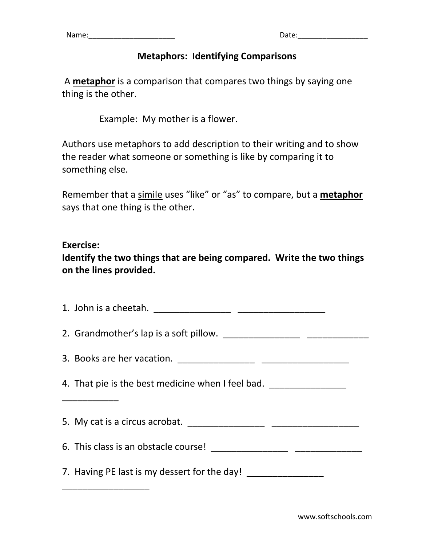## **Metaphors: Identifying Comparisons**

A **metaphor** is a comparison that compares two things by saying one thing is the other.

Example: My mother is a flower.

Authors use metaphors to add description to their writing and to show the reader what someone or something is like by comparing it to something else.

Remember that a simile uses "like" or "as" to compare, but a **metaphor** says that one thing is the other.

## **Exercise:**

**Identify the two things that are being compared. Write the two things on the lines provided.**

| 4. That pie is the best medicine when I feel bad. ______________________________ |  |  |  |
|----------------------------------------------------------------------------------|--|--|--|
|                                                                                  |  |  |  |
|                                                                                  |  |  |  |
|                                                                                  |  |  |  |
| 7. Having PE last is my dessert for the day!                                     |  |  |  |
|                                                                                  |  |  |  |